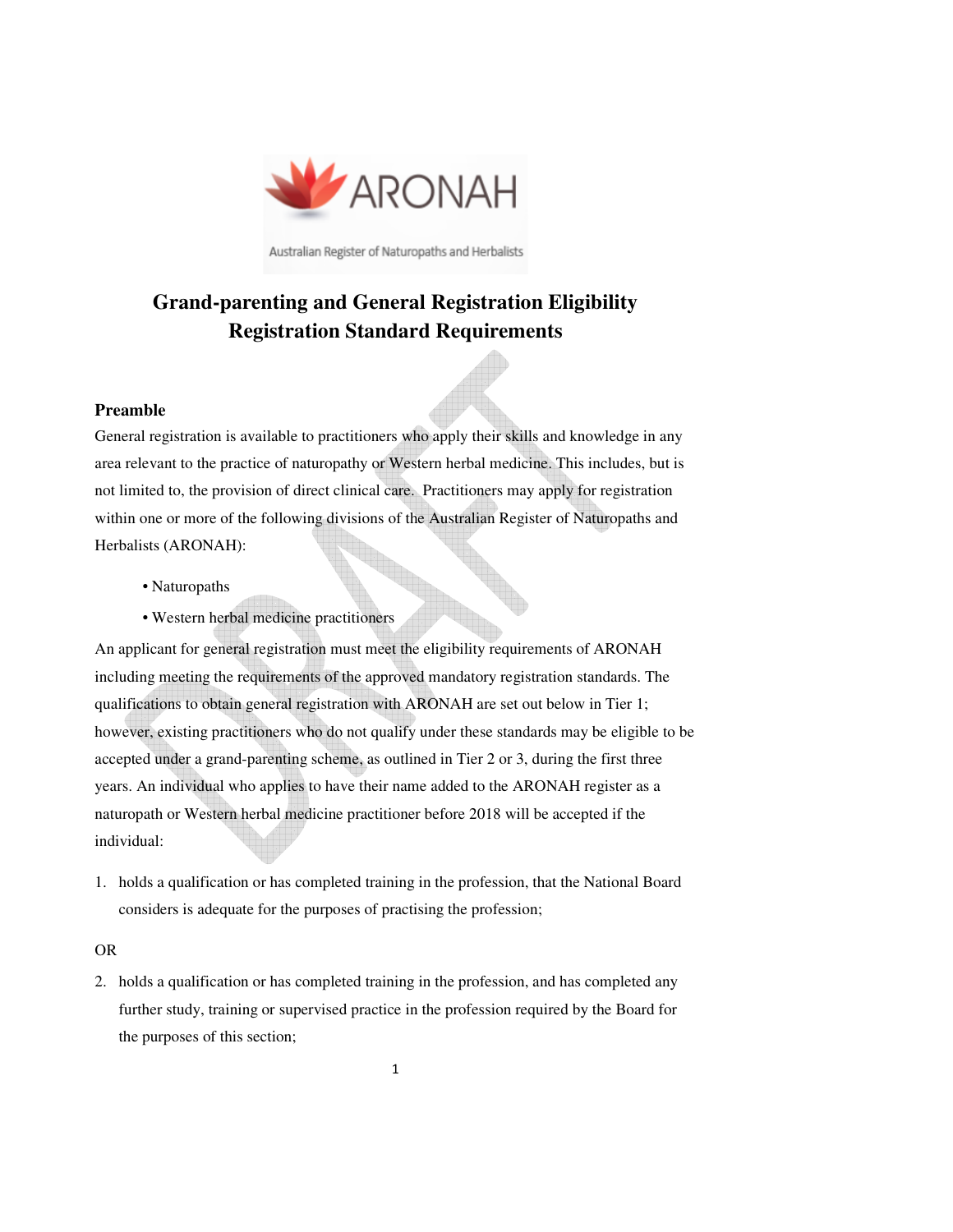

Australian Register of Naturopaths and Herbalists

# **Grand-parenting and General Registration Eligibility Registration Standard Requirements**

#### **Preamble**

General registration is available to practitioners who apply their skills and knowledge in any area relevant to the practice of naturopathy or Western herbal medicine. This includes, but is not limited to, the provision of direct clinical care. Practitioners may apply for registration within one or more of the following divisions of the Australian Register of Naturopaths and Herbalists (ARONAH):

- Naturopaths
- Western herbal medicine practitioners

An applicant for general registration must meet the eligibility requirements of ARONAH including meeting the requirements of the approved mandatory registration standards. The qualifications to obtain general registration with ARONAH are set out below in Tier 1; however, existing practitioners who do not qualify under these standards may be eligible to be accepted under a grand-parenting scheme, as outlined in Tier 2 or 3, during the first three years. An individual who applies to have their name added to the ARONAH register as a naturopath or Western herbal medicine practitioner before 2018 will be accepted if the individual:

1. holds a qualification or has completed training in the profession, that the National Board considers is adequate for the purposes of practising the profession;

#### OR

2. holds a qualification or has completed training in the profession, and has completed any further study, training or supervised practice in the profession required by the Board for the purposes of this section;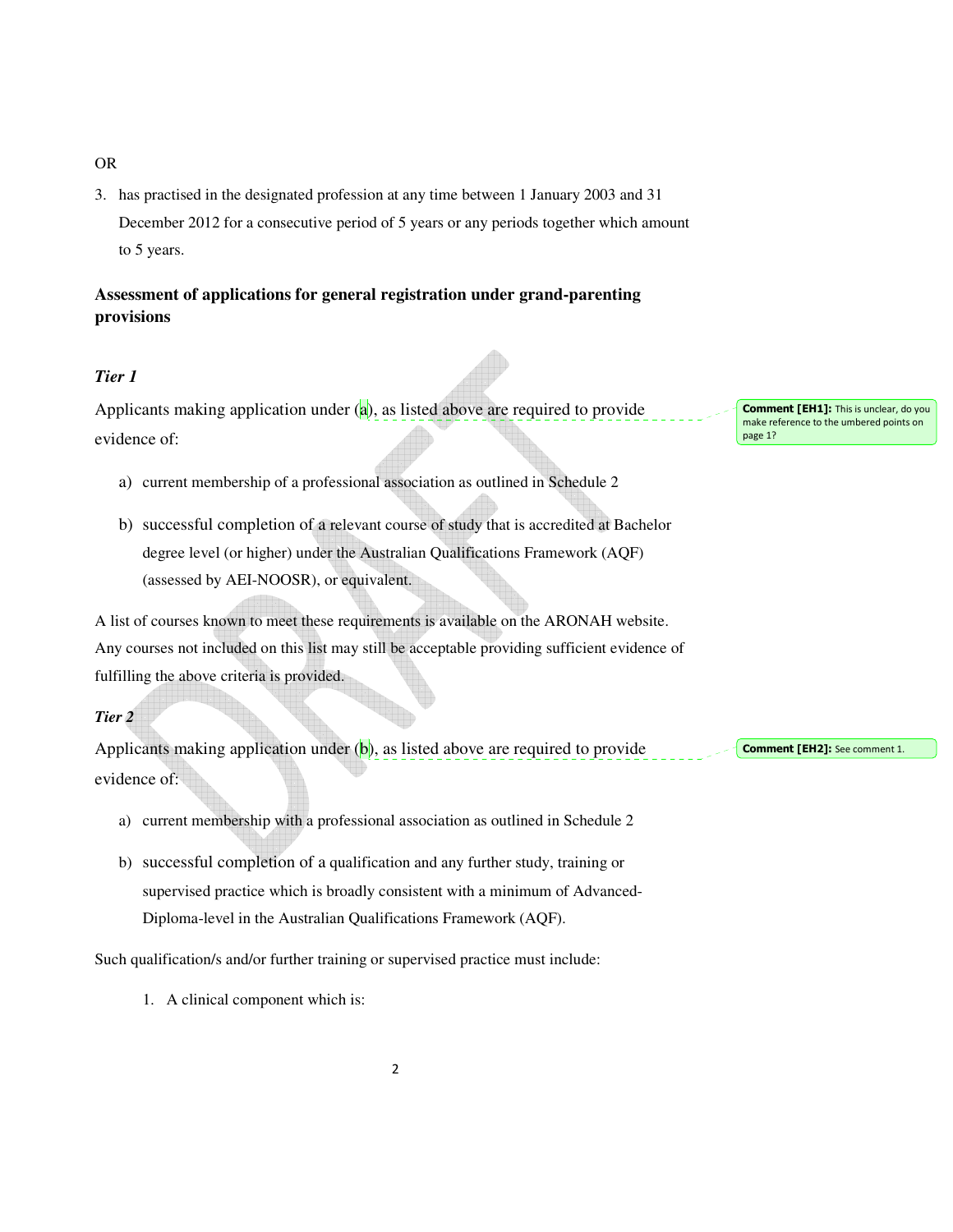#### OR

3. has practised in the designated profession at any time between 1 January 2003 and 31 December 2012 for a consecutive period of 5 years or any periods together which amount to 5 years.

## **Assessment of applications for general registration under grand-parenting provisions**

## *Tier 1*

Applicants making application under  $(a)$ , as listed above are required to provide evidence of:

- a) current membership of a professional association as outlined in Schedule 2
- b) successful completion of a relevant course of study that is accredited at Bachelor degree level (or higher) under the Australian Qualifications Framework (AQF) (assessed by AEI-NOOSR), or equivalent.

A list of courses known to meet these requirements is available on the ARONAH website. Any courses not included on this list may still be acceptable providing sufficient evidence of fulfilling the above criteria is provided.

#### *Tier 2*

Applicants making application under  $(b)$ , as listed above are required to provide evidence of:

- a) current membership with a professional association as outlined in Schedule 2
- b) successful completion of a qualification and any further study, training or supervised practice which is broadly consistent with a minimum of Advanced-Diploma-level in the Australian Qualifications Framework (AQF).

Such qualification/s and/or further training or supervised practice must include:

1. A clinical component which is:

Comment [EH1]: This is unclear, do you make reference to the umbered points on page 1?

Comment [EH2]: See comment 1.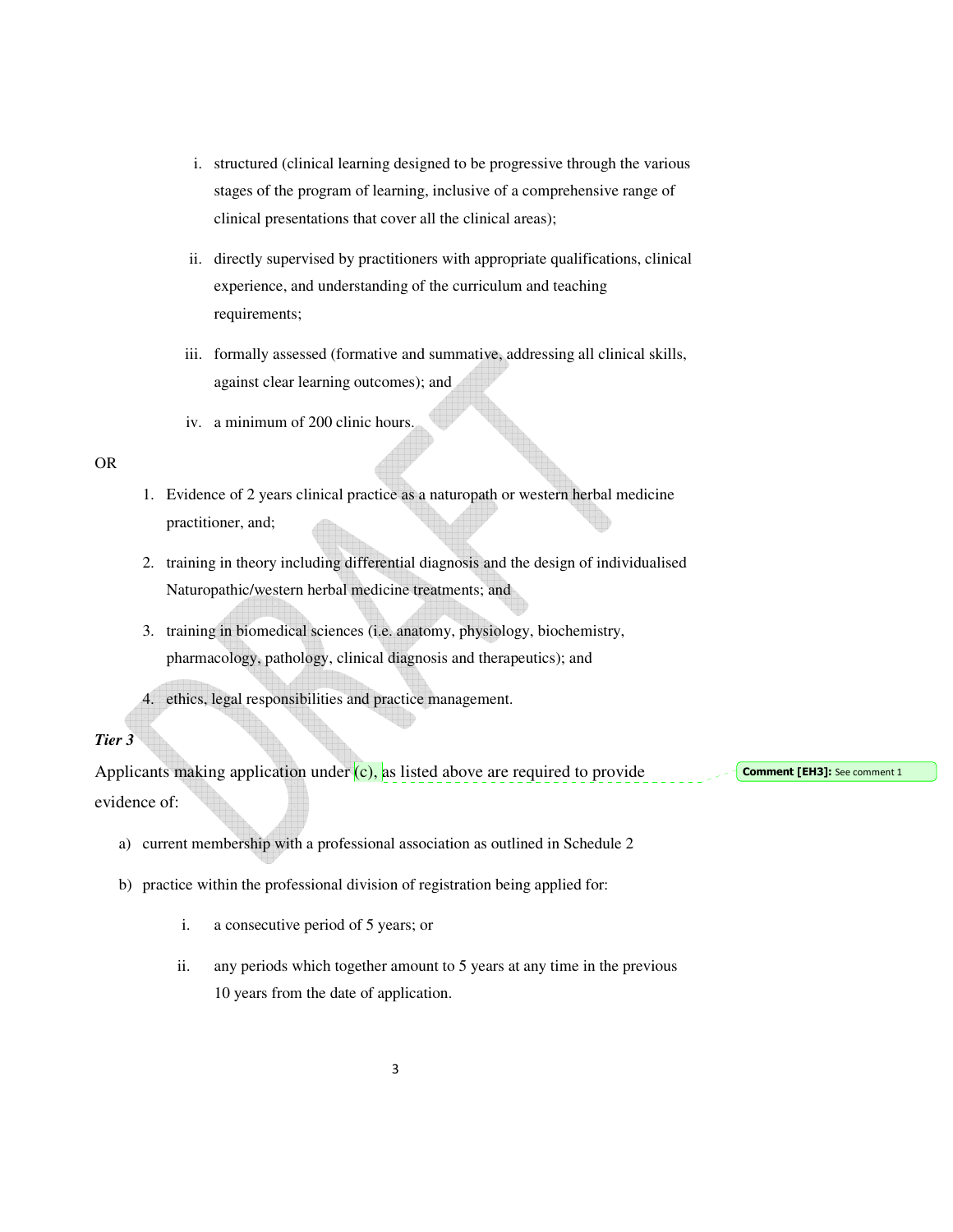- i. structured (clinical learning designed to be progressive through the various stages of the program of learning, inclusive of a comprehensive range of clinical presentations that cover all the clinical areas);
- ii. directly supervised by practitioners with appropriate qualifications, clinical experience, and understanding of the curriculum and teaching requirements;
- iii. formally assessed (formative and summative, addressing all clinical skills, against clear learning outcomes); and
- iv. a minimum of 200 clinic hours.

#### OR

- 1. Evidence of 2 years clinical practice as a naturopath or western herbal medicine practitioner, and;
- 2. training in theory including differential diagnosis and the design of individualised Naturopathic/western herbal medicine treatments; and
- 3. training in biomedical sciences (i.e. anatomy, physiology, biochemistry, pharmacology, pathology, clinical diagnosis and therapeutics); and

4. ethics, legal responsibilities and practice management.

#### *Tier 3*

Applicants making application under  $(c)$ , as listed above are required to provide evidence of:

Comment [EH3]: See comment 1

- a) current membership with a professional association as outlined in Schedule 2
- b) practice within the professional division of registration being applied for:
	- i. a consecutive period of 5 years; or
	- ii. any periods which together amount to 5 years at any time in the previous 10 years from the date of application.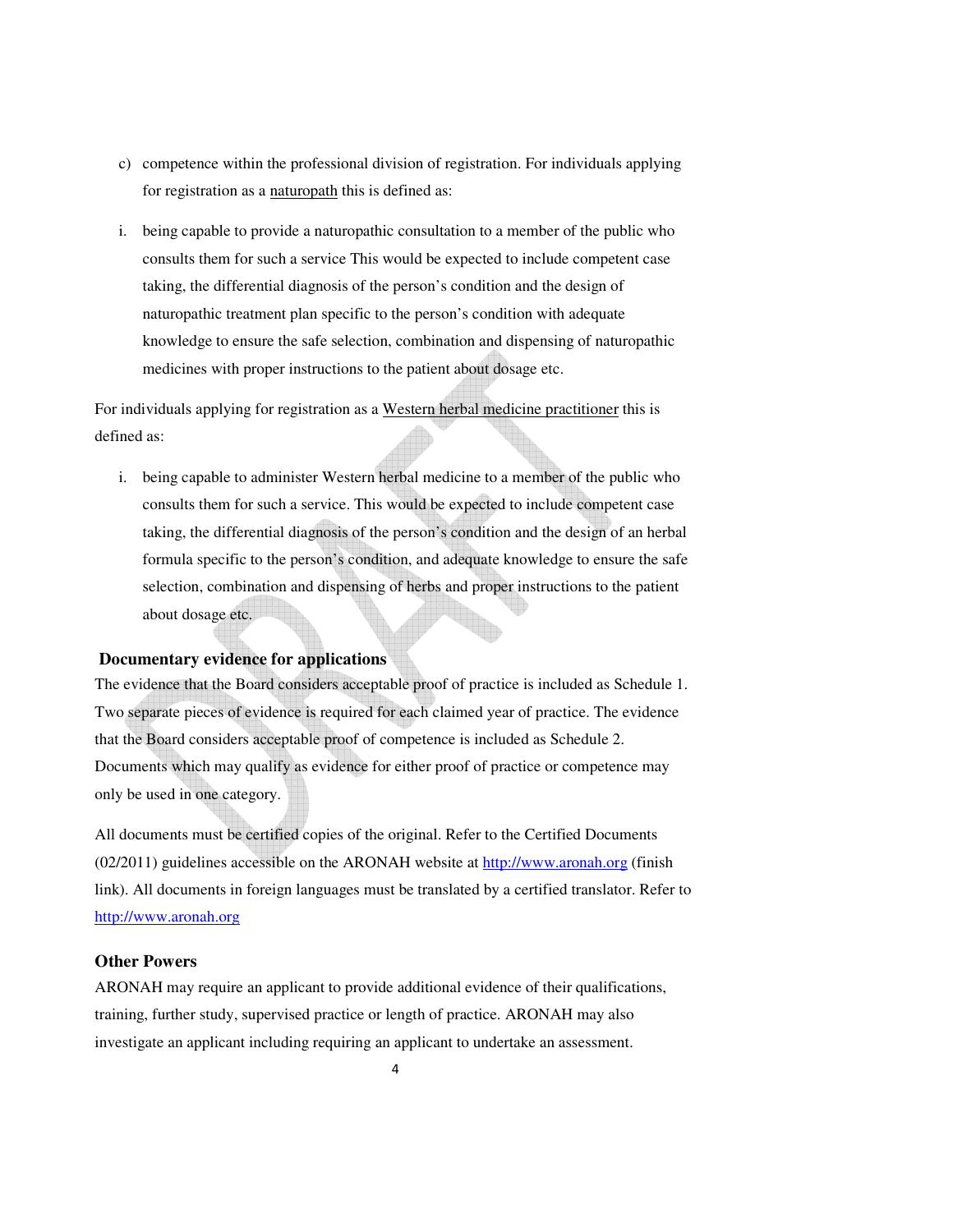- c) competence within the professional division of registration. For individuals applying for registration as a naturopath this is defined as:
- i. being capable to provide a naturopathic consultation to a member of the public who consults them for such a service This would be expected to include competent case taking, the differential diagnosis of the person's condition and the design of naturopathic treatment plan specific to the person's condition with adequate knowledge to ensure the safe selection, combination and dispensing of naturopathic medicines with proper instructions to the patient about dosage etc.

For individuals applying for registration as a Western herbal medicine practitioner this is defined as:

i. being capable to administer Western herbal medicine to a member of the public who consults them for such a service. This would be expected to include competent case taking, the differential diagnosis of the person's condition and the design of an herbal formula specific to the person's condition, and adequate knowledge to ensure the safe selection, combination and dispensing of herbs and proper instructions to the patient about dosage etc.

#### **Documentary evidence for applications**

The evidence that the Board considers acceptable proof of practice is included as Schedule 1. Two separate pieces of evidence is required for each claimed year of practice. The evidence that the Board considers acceptable proof of competence is included as Schedule 2. Documents which may qualify as evidence for either proof of practice or competence may only be used in one category.

All documents must be certified copies of the original. Refer to the Certified Documents (02/2011) guidelines accessible on the ARONAH website at http://www.aronah.org (finish link). All documents in foreign languages must be translated by a certified translator. Refer to http://www.aronah.org

#### **Other Powers**

ARONAH may require an applicant to provide additional evidence of their qualifications, training, further study, supervised practice or length of practice. ARONAH may also investigate an applicant including requiring an applicant to undertake an assessment.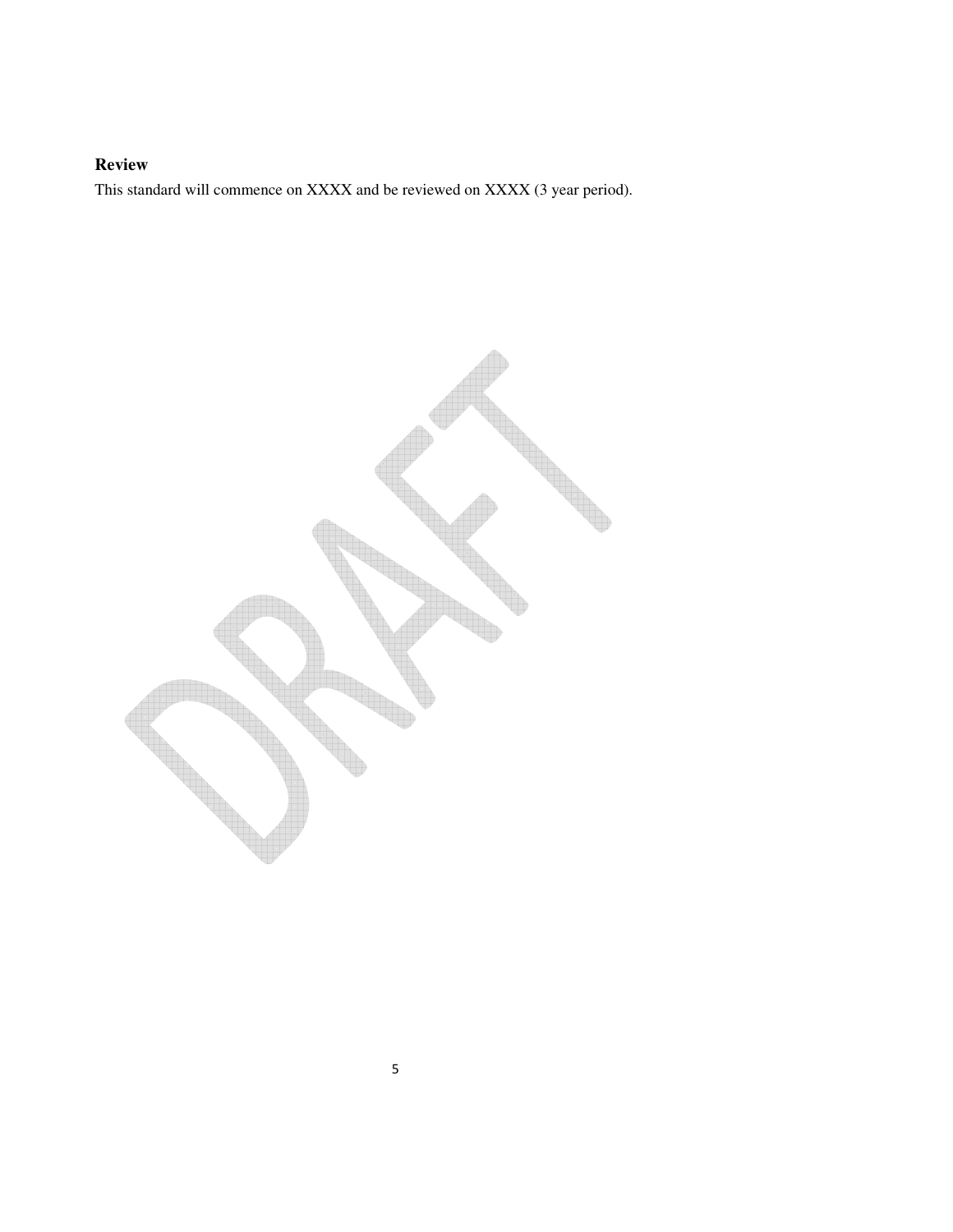## **Review**

This standard will commence on XXXX and be reviewed on XXXX (3 year period).

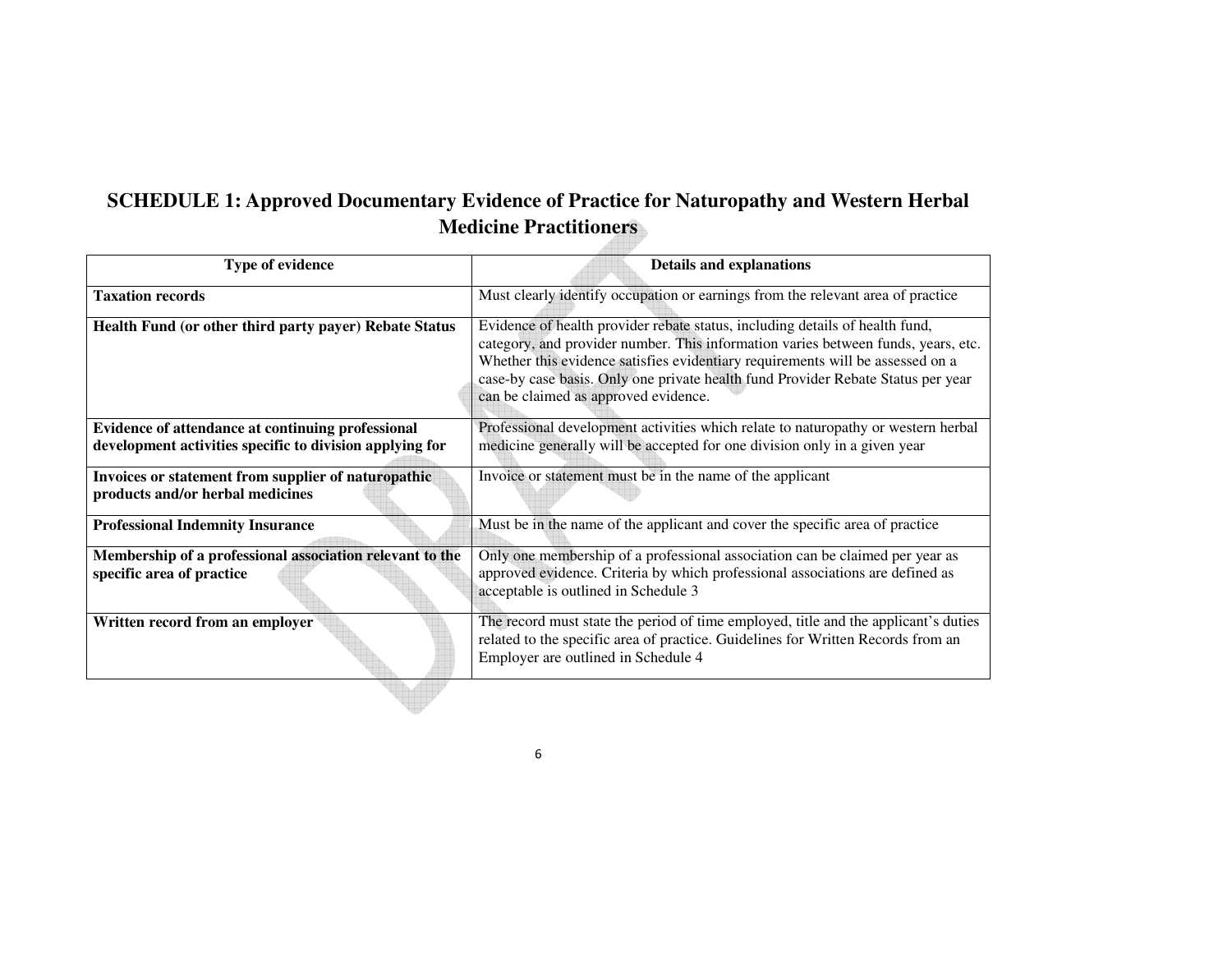# **SCHEDULE 1: Approved Documentary Evidence of Practice for Naturopathy and Western Herbal Medicine Practitioners**

<u>. 492322</u>

| <b>Type of evidence</b>                                                                                       | <b>Details and explanations</b>                                                                                                                                                                                                                                                                                                                                                 |
|---------------------------------------------------------------------------------------------------------------|---------------------------------------------------------------------------------------------------------------------------------------------------------------------------------------------------------------------------------------------------------------------------------------------------------------------------------------------------------------------------------|
| <b>Taxation records</b>                                                                                       | Must clearly identify occupation or earnings from the relevant area of practice                                                                                                                                                                                                                                                                                                 |
| Health Fund (or other third party payer) Rebate Status                                                        | Evidence of health provider rebate status, including details of health fund,<br>category, and provider number. This information varies between funds, years, etc.<br>Whether this evidence satisfies evidentiary requirements will be assessed on a<br>case-by case basis. Only one private health fund Provider Rebate Status per year<br>can be claimed as approved evidence. |
| Evidence of attendance at continuing professional<br>development activities specific to division applying for | Professional development activities which relate to naturopathy or western herbal<br>medicine generally will be accepted for one division only in a given year                                                                                                                                                                                                                  |
| Invoices or statement from supplier of naturopathic<br>products and/or herbal medicines                       | Invoice or statement must be in the name of the applicant                                                                                                                                                                                                                                                                                                                       |
| <b>Professional Indemnity Insurance</b>                                                                       | Must be in the name of the applicant and cover the specific area of practice                                                                                                                                                                                                                                                                                                    |
| Membership of a professional association relevant to the<br>specific area of practice                         | Only one membership of a professional association can be claimed per year as<br>approved evidence. Criteria by which professional associations are defined as<br>acceptable is outlined in Schedule 3                                                                                                                                                                           |
| Written record from an employer                                                                               | The record must state the period of time employed, title and the applicant's duties<br>related to the specific area of practice. Guidelines for Written Records from an<br>Employer are outlined in Schedule 4                                                                                                                                                                  |

6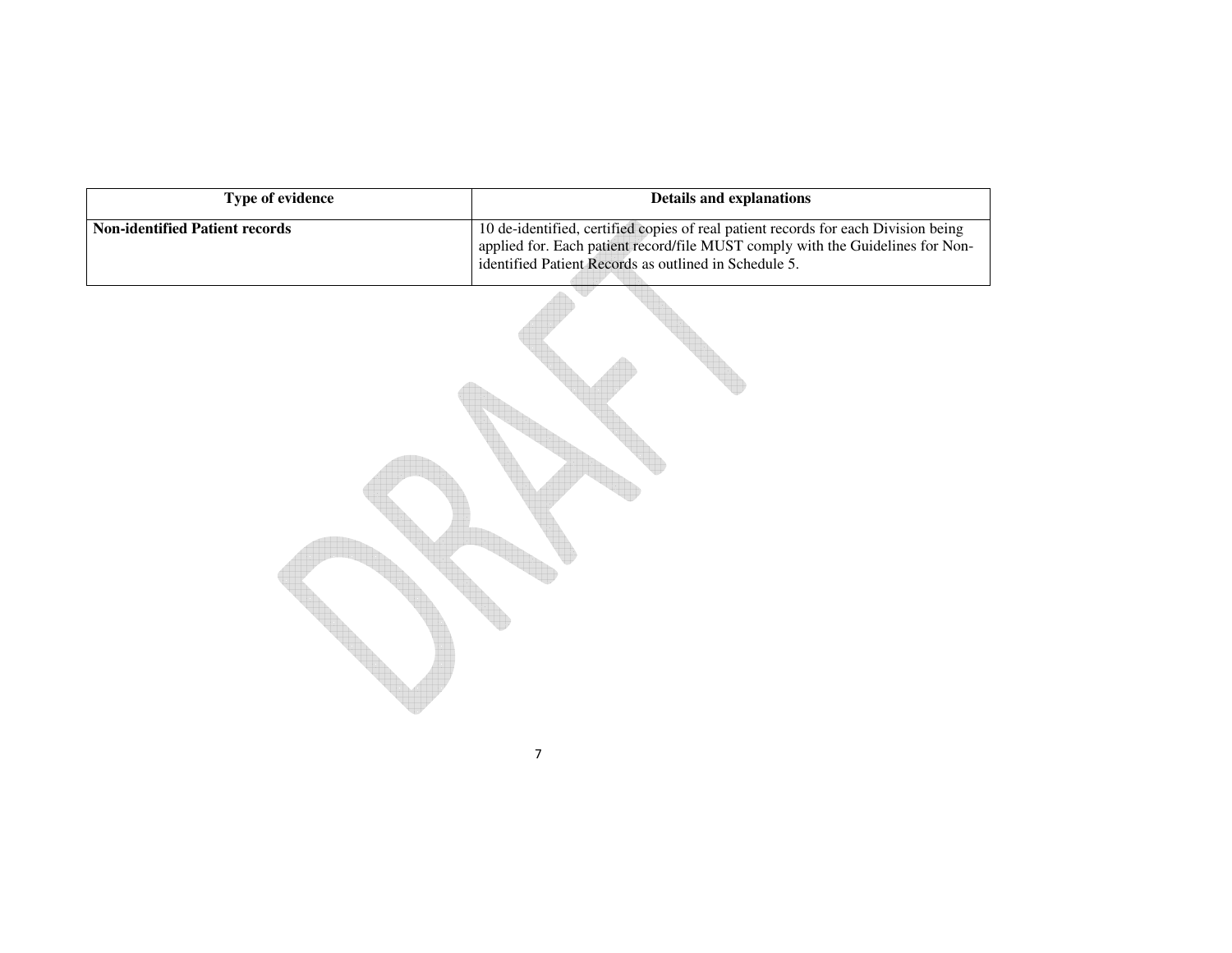| Type of evidence                      | <b>Details and explanations</b>                                                                                                                                                                                               |
|---------------------------------------|-------------------------------------------------------------------------------------------------------------------------------------------------------------------------------------------------------------------------------|
| <b>Non-identified Patient records</b> | 10 de-identified, certified copies of real patient records for each Division being<br>applied for. Each patient record/file MUST comply with the Guidelines for Non-<br>identified Patient Records as outlined in Schedule 5. |
|                                       |                                                                                                                                                                                                                               |

7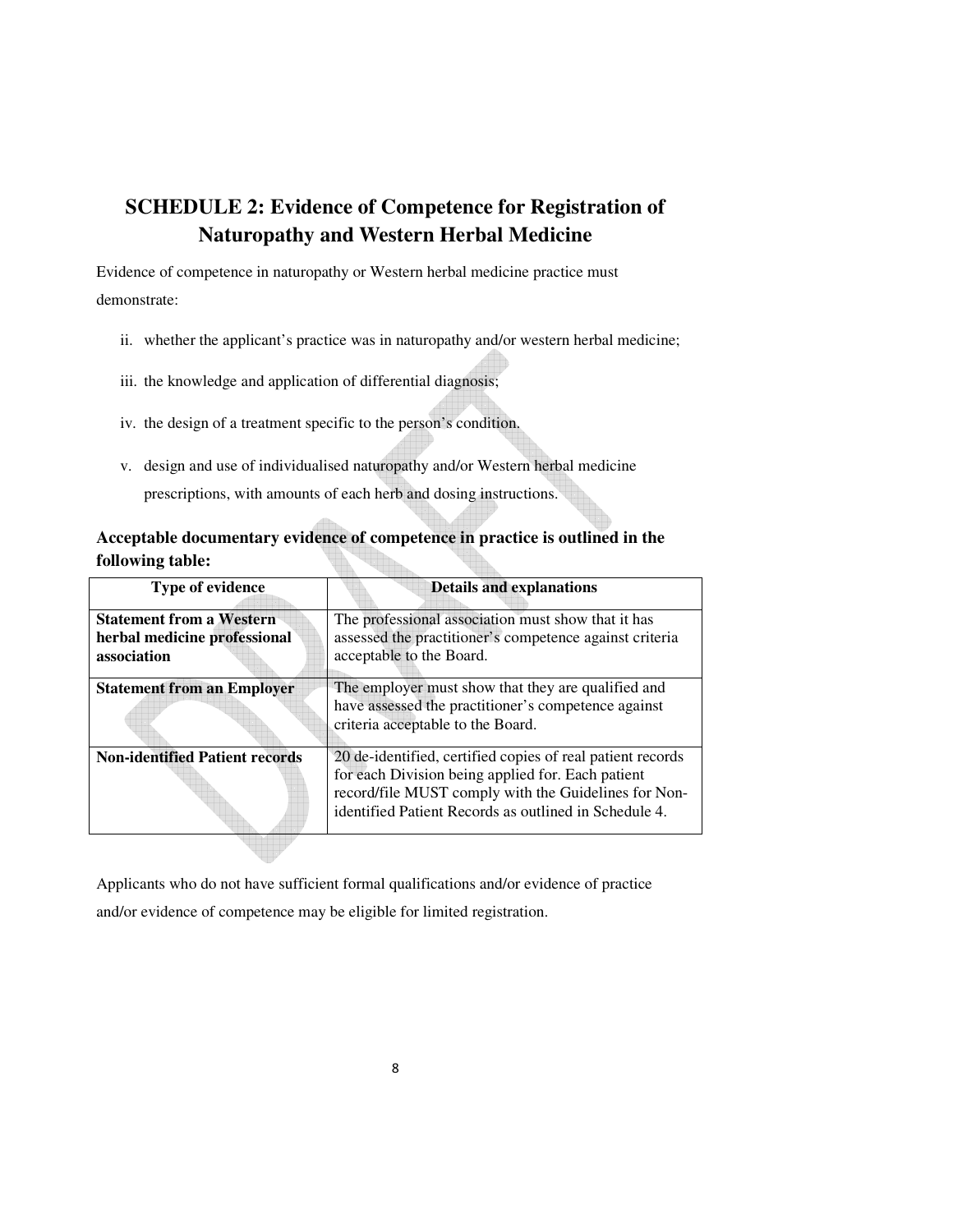# **SCHEDULE 2: Evidence of Competence for Registration of Naturopathy and Western Herbal Medicine**

Evidence of competence in naturopathy or Western herbal medicine practice must demonstrate:

- ii. whether the applicant's practice was in naturopathy and/or western herbal medicine;
- iii. the knowledge and application of differential diagnosis;
- iv. the design of a treatment specific to the person's condition.
- v. design and use of individualised naturopathy and/or Western herbal medicine prescriptions, with amounts of each herb and dosing instructions.

## **Acceptable documentary evidence of competence in practice is outlined in the following table:**

| <b>Type of evidence</b>                                                        | <b>Details and explanations</b>                                                                                                                                                                                                  |
|--------------------------------------------------------------------------------|----------------------------------------------------------------------------------------------------------------------------------------------------------------------------------------------------------------------------------|
| <b>Statement from a Western</b><br>herbal medicine professional<br>association | The professional association must show that it has<br>assessed the practitioner's competence against criteria<br>acceptable to the Board.                                                                                        |
| <b>Statement from an Employer</b>                                              | The employer must show that they are qualified and<br>have assessed the practitioner's competence against<br>criteria acceptable to the Board.                                                                                   |
| <b>Non-identified Patient records</b>                                          | 20 de-identified, certified copies of real patient records<br>for each Division being applied for. Each patient<br>record/file MUST comply with the Guidelines for Non-<br>identified Patient Records as outlined in Schedule 4. |

Applicants who do not have sufficient formal qualifications and/or evidence of practice and/or evidence of competence may be eligible for limited registration.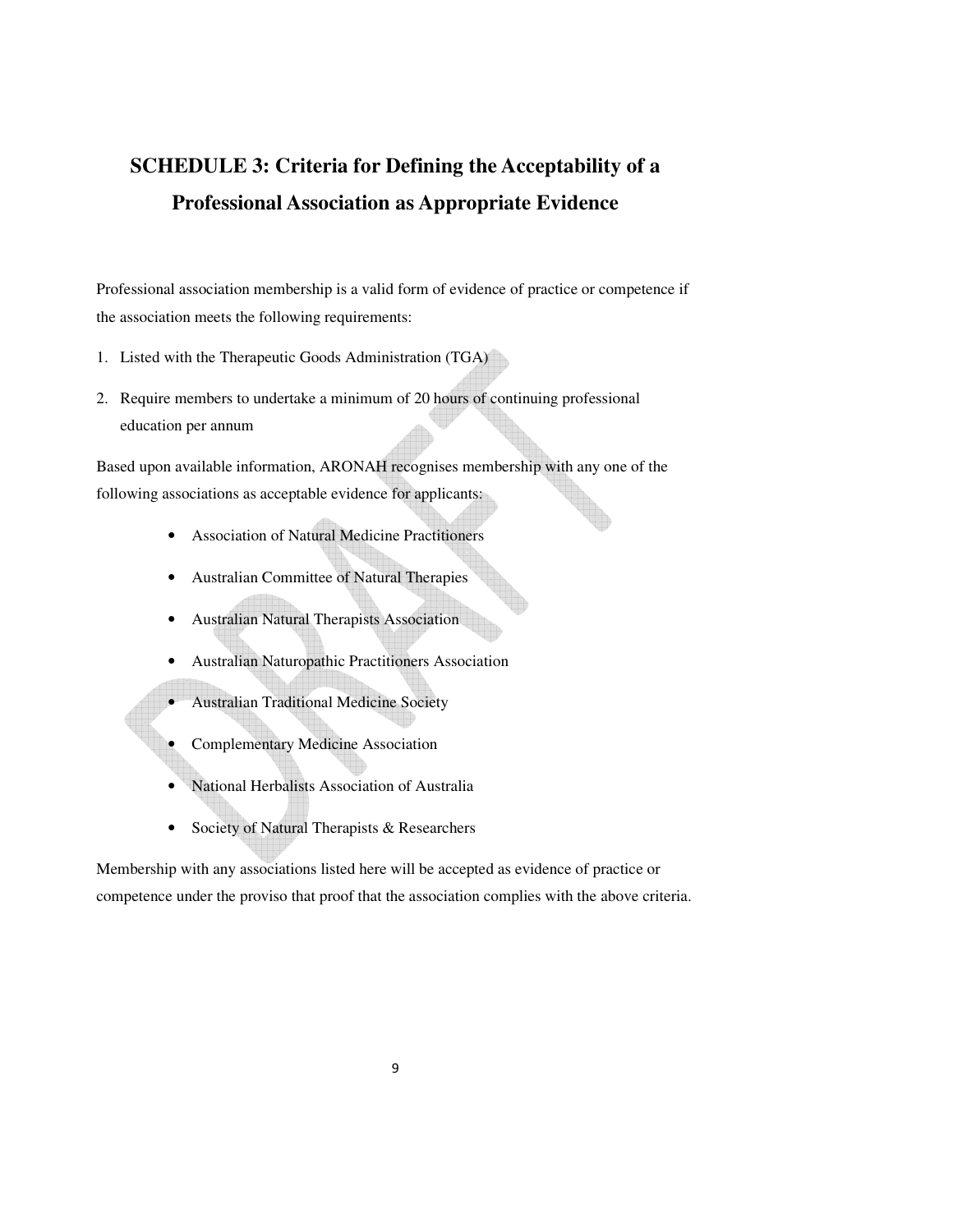# **SCHEDULE 3: Criteria for Defining the Acceptability of a Professional Association as Appropriate Evidence**

Professional association membership is a valid form of evidence of practice or competence if the association meets the following requirements:

- 1. Listed with the Therapeutic Goods Administration (TGA)
- 2. Require members to undertake a minimum of 20 hours of continuing professional education per annum

Based upon available information, ARONAH recognises membership with any one of the following associations as acceptable evidence for applicants:

- Association of Natural Medicine Practitioners
- Australian Committee of Natural Therapies
- Australian Natural Therapists Association
- Australian Naturopathic Practitioners Association
- Australian Traditional Medicine Society
- Complementary Medicine Association
- National Herbalists Association of Australia
- Society of Natural Therapists & Researchers

Membership with any associations listed here will be accepted as evidence of practice or competence under the proviso that proof that the association complies with the above criteria.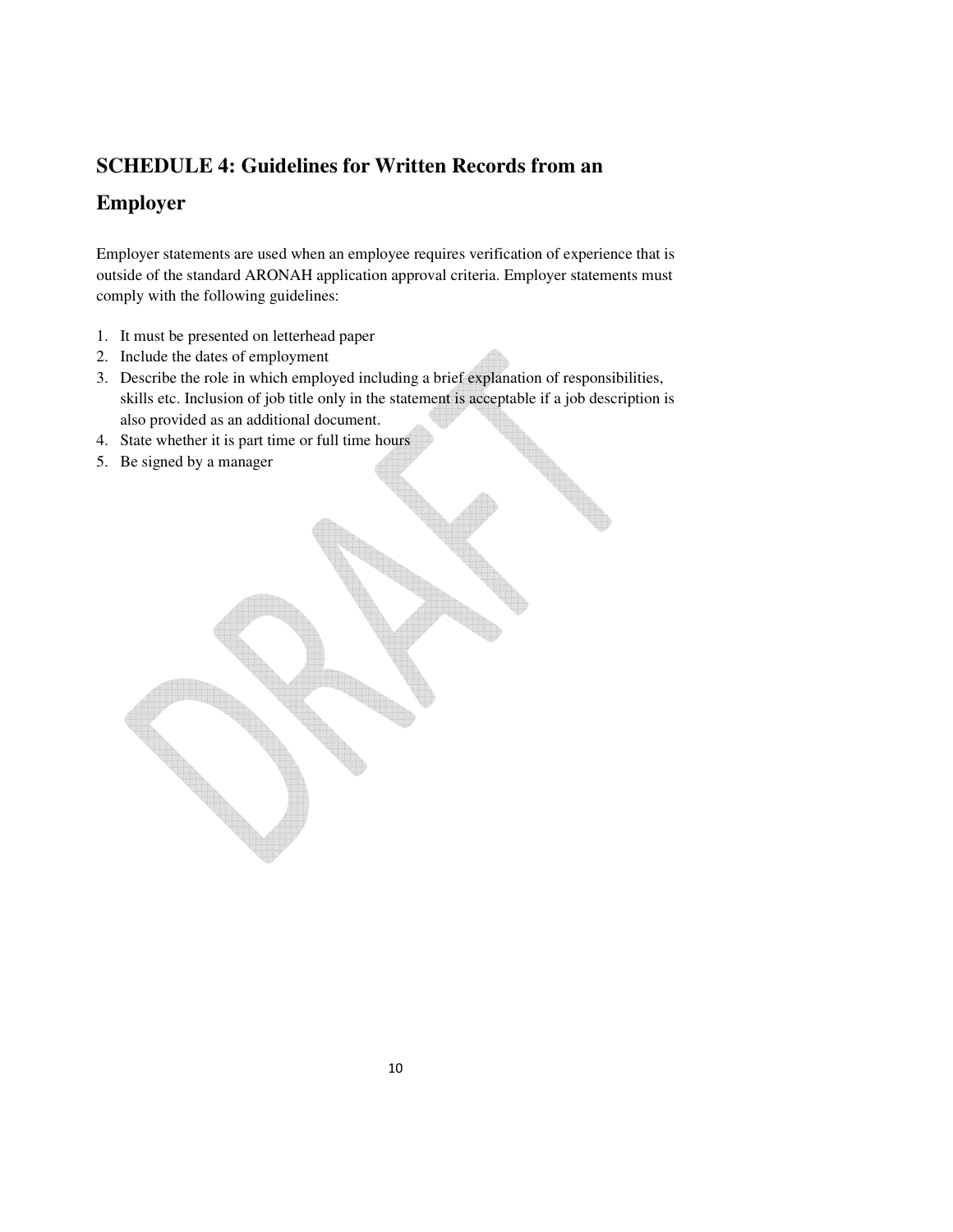## **SCHEDULE 4: Guidelines for Written Records from an**

# **Employer**

Employer statements are used when an employee requires verification of experience that is outside of the standard ARONAH application approval criteria. Employer statements must comply with the following guidelines:

- 1. It must be presented on letterhead paper
- 2. Include the dates of employment
- 3. Describe the role in which employed including a brief explanation of responsibilities, skills etc. Inclusion of job title only in the statement is acceptable if a job description is also provided as an additional document.
- 4. State whether it is part time or full time hours
- 5. Be signed by a manager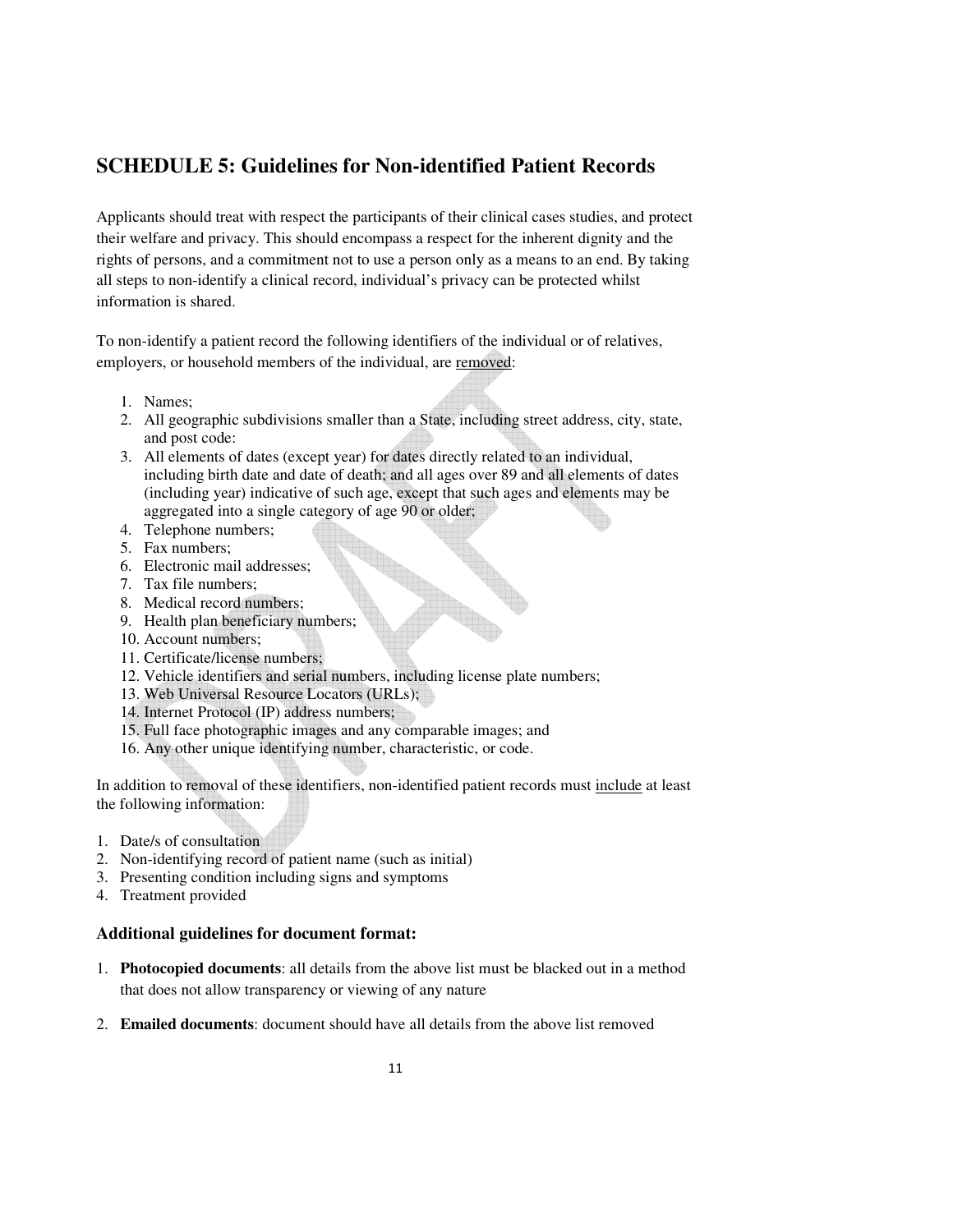## **SCHEDULE 5: Guidelines for Non-identified Patient Records**

Applicants should treat with respect the participants of their clinical cases studies, and protect their welfare and privacy. This should encompass a respect for the inherent dignity and the rights of persons, and a commitment not to use a person only as a means to an end. By taking all steps to non-identify a clinical record, individual's privacy can be protected whilst information is shared.

To non-identify a patient record the following identifiers of the individual or of relatives, employers, or household members of the individual, are removed:

- 1. Names;
- 2. All geographic subdivisions smaller than a State, including street address, city, state, and post code:
- 3. All elements of dates (except year) for dates directly related to an individual, including birth date and date of death; and all ages over 89 and all elements of dates (including year) indicative of such age, except that such ages and elements may be aggregated into a single category of age 90 or older;
- 4. Telephone numbers;
- 5. Fax numbers;
- 6. Electronic mail addresses;
- 7. Tax file numbers;
- 8. Medical record numbers;
- 9. Health plan beneficiary numbers;
- 10. Account numbers;
- 11. Certificate/license numbers;
- 12. Vehicle identifiers and serial numbers, including license plate numbers;
- 13. Web Universal Resource Locators (URLs);
- 14. Internet Protocol (IP) address numbers;
- 15. Full face photographic images and any comparable images; and
- 16. Any other unique identifying number, characteristic, or code.

In addition to removal of these identifiers, non-identified patient records must include at least the following information:

- 1. Date/s of consultation
- 2. Non-identifying record of patient name (such as initial)
- 3. Presenting condition including signs and symptoms
- 4. Treatment provided

### **Additional guidelines for document format:**

- 1. **Photocopied documents**: all details from the above list must be blacked out in a method that does not allow transparency or viewing of any nature
- 2. **Emailed documents**: document should have all details from the above list removed